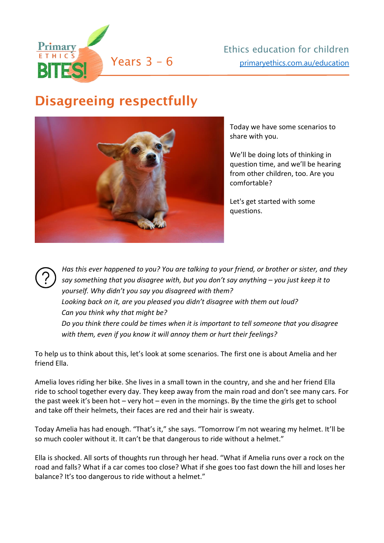

## Disagreeing respectfully



Today we have some scenarios to share with you.

We'll be doing lots of thinking in question time, and we'll be hearing from other children, too. Are you comfortable?

Let's get started with some questions.

*Has this ever happened to you? You are talking to your friend, or brother or sister, and they say something that you disagree with, but you don't say anything – you just keep it to yourself. Why didn't you say you disagreed with them? Looking back on it, are you pleased you didn't disagree with them out loud? Can you think why that might be? Do you think there could be times when it is important to tell someone that you disagree with them, even if you know it will annoy them or hurt their feelings?*

To help us to think about this, let's look at some scenarios. The first one is about Amelia and her friend Ella.

Amelia loves riding her bike. She lives in a small town in the country, and she and her friend Ella ride to school together every day. They keep away from the main road and don't see many cars. For the past week it's been hot – very hot – even in the mornings. By the time the girls get to school and take off their helmets, their faces are red and their hair is sweaty.

Today Amelia has had enough. "That's it," she says. "Tomorrow I'm not wearing my helmet. It'll be so much cooler without it. It can't be that dangerous to ride without a helmet."

Ella is shocked. All sorts of thoughts run through her head. "What if Amelia runs over a rock on the road and falls? What if a car comes too close? What if she goes too fast down the hill and loses her balance? It's too dangerous to ride without a helmet."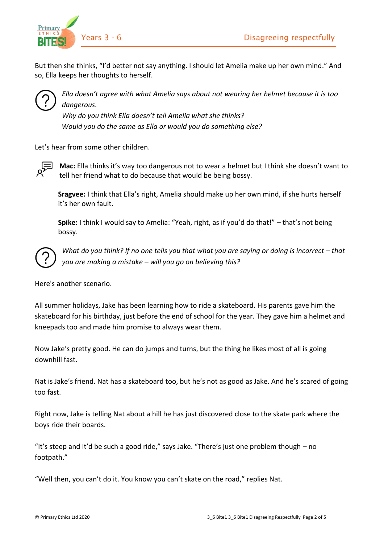

But then she thinks, "I'd better not say anything. I should let Amelia make up her own mind." And so, Ella keeps her thoughts to herself.



*Ella doesn't agree with what Amelia says about not wearing her helmet because it is too dangerous.* 

*Why do you think Ella doesn't tell Amelia what she thinks? Would you do the same as Ella or would you do something else?*

Let's hear from some other children.



**Mac:** Ella thinks it's way too dangerous not to wear a helmet but I think she doesn't want to tell her friend what to do because that would be being bossy.

**Sragvee:** I think that Ella's right, Amelia should make up her own mind, if she hurts herself it's her own fault.

**Spike:** I think I would say to Amelia: "Yeah, right, as if you'd do that!" – that's not being bossy.



*What do you think? If no one tells you that what you are saying or doing is incorrect - that you are making a mistake – will you go on believing this?*

Here's another scenario.

All summer holidays, Jake has been learning how to ride a skateboard. His parents gave him the skateboard for his birthday, just before the end of school for the year. They gave him a helmet and kneepads too and made him promise to always wear them.

Now Jake's pretty good. He can do jumps and turns, but the thing he likes most of all is going downhill fast.

Nat is Jake's friend. Nat has a skateboard too, but he's not as good as Jake. And he's scared of going too fast.

Right now, Jake is telling Nat about a hill he has just discovered close to the skate park where the boys ride their boards.

"It's steep and it'd be such a good ride," says Jake. "There's just one problem though – no footpath."

"Well then, you can't do it. You know you can't skate on the road," replies Nat.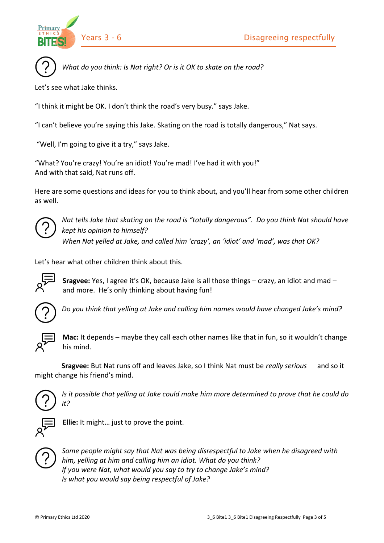

*What do you think: Is Nat right? Or is it OK to skate on the road?*

Let's see what Jake thinks.

"I think it might be OK. I don't think the road's very busy." says Jake.

"I can't believe you're saying this Jake. Skating on the road is totally dangerous," Nat says.

"Well, I'm going to give it a try," says Jake.

"What? You're crazy! You're an idiot! You're mad! I've had it with you!" And with that said, Nat runs off.

Here are some questions and ideas for you to think about, and you'll hear from some other children as well.



*Nat tells Jake that skating on the road is "totally dangerous". Do you think Nat should have kept his opinion to himself? When Nat yelled at Jake, and called him 'crazy', an 'idiot' and 'mad', was that OK?*

Let's hear what other children think about this.



**Sragvee:** Yes, I agree it's OK, because Jake is all those things – crazy, an idiot and mad – and more. He's only thinking about having fun!



*Do you think that yelling at Jake and calling him names would have changed Jake's mind?* 



**Mac:** It depends – maybe they call each other names like that in fun, so it wouldn't change his mind.

 **Sragvee:** But Nat runs off and leaves Jake, so I think Nat must be *really serious* and so it might change his friend's mind.



*Is it possible that yelling at Jake could make him more determined to prove that he could do it?*



**Ellie:** It might… just to prove the point.



*Some people might say that Nat was being disrespectful to Jake when he disagreed with him, yelling at him and calling him an idiot. What do you think? If you were Nat, what would you say to try to change Jake's mind? Is what you would say being respectful of Jake?*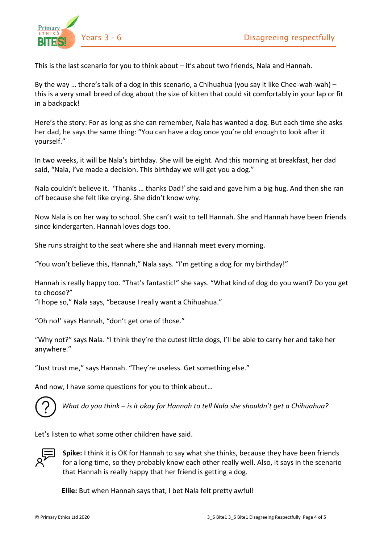

This is the last scenario for you to think about – it's about two friends, Nala and Hannah.

By the way … there's talk of a dog in this scenario, a Chihuahua (you say it like Chee-wah-wah) – this is a very small breed of dog about the size of kitten that could sit comfortably in your lap or fit in a backpack!

Here's the story: For as long as she can remember, Nala has wanted a dog. But each time she asks her dad, he says the same thing: "You can have a dog once you're old enough to look after it yourself."

In two weeks, it will be Nala's birthday. She will be eight. And this morning at breakfast, her dad said, "Nala, I've made a decision. This birthday we will get you a dog."

Nala couldn't believe it. 'Thanks … thanks Dad!' she said and gave him a big hug. And then she ran off because she felt like crying. She didn't know why.

Now Nala is on her way to school. She can't wait to tell Hannah. She and Hannah have been friends since kindergarten. Hannah loves dogs too.

She runs straight to the seat where she and Hannah meet every morning.

"You won't believe this, Hannah," Nala says. "I'm getting a dog for my birthday!"

Hannah is really happy too. "That's fantastic!" she says. "What kind of dog do you want? Do you get to choose?"

"I hope so," Nala says, "because I really want a Chihuahua."

"Oh no!' says Hannah, "don't get one of those."

"Why not?" says Nala. "I think they're the cutest little dogs, I'll be able to carry her and take her anywhere."

"Just trust me," says Hannah. "They're useless. Get something else."

And now, I have some questions for you to think about…



*What do you think – is it okay for Hannah to tell Nala she shouldn't get a Chihuahua?*

Let's listen to what some other children have said.



**Spike:** I think it is OK for Hannah to say what she thinks, because they have been friends for a long time, so they probably know each other really well. Also, it says in the scenario that Hannah is really happy that her friend is getting a dog.

 **Ellie:** But when Hannah says that, I bet Nala felt pretty awful!